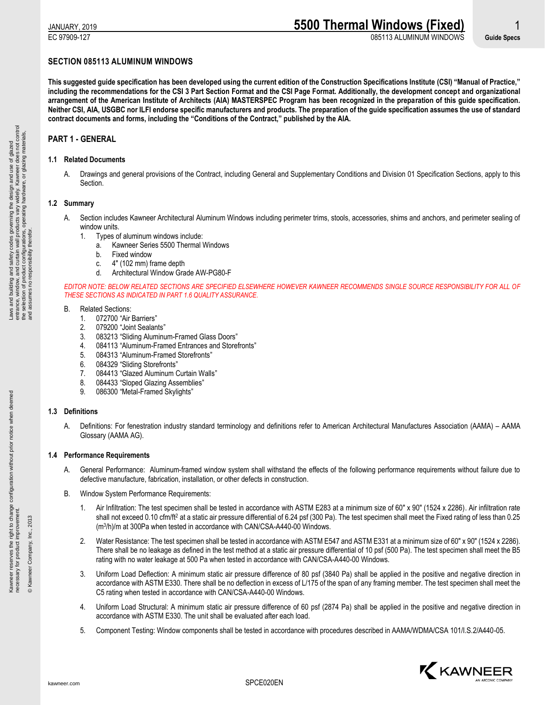EC 97909-127 085113 ALUMINUM WINDOWS **Guide Specs**

# **SECTION 085113 ALUMINUM WINDOWS**

**This suggested guide specification has been developed using the current edition of the Construction Specifications Institute (CSI) "Manual of Practice," including the recommendations for the CSI 3 Part Section Format and the CSI Page Format. Additionally, the development concept and organizational arrangement of the American Institute of Architects (AIA) MASTERSPEC Program has been recognized in the preparation of this guide specification. Neither CSI, AIA, USGBC nor ILFI endorse specific manufacturers and products. The preparation of the guide specification assumes the use of standard contract documents and forms, including the "Conditions of the Contract," published by the AIA.**

# **PART 1 - GENERAL**

# **1.1 Related Documents**

A. Drawings and general provisions of the Contract, including General and Supplementary Conditions and Division 01 Specification Sections, apply to this Section.

# **1.2 Summary**

- A. Section includes Kawneer Architectural Aluminum Windows including perimeter trims, stools, accessories, shims and anchors, and perimeter sealing of window units.
	- 1. Types of aluminum windows include:
		- a. Kawneer Series 5500 Thermal Windows
		- b. Fixed window
		- c. 4" (102 mm) frame depth
		- d. Architectural Window Grade AW-PG80-F

*EDITOR NOTE: BELOW RELATED SECTIONS ARE SPECIFIED ELSEWHERE HOWEVER KAWNEER RECOMMENDS SINGLE SOURCE RESPONSIBILITY FOR ALL OF THESE SECTIONS AS INDICATED IN PART 1.6 QUALITY ASSURANCE.*

# B. Related Sections:

- 1. 072700 "Air Barriers"
- 2. 079200 "Joint Sealants"
- 3. 083213 "Sliding Aluminum-Framed Glass Doors"
- 4. 084113 "Aluminum-Framed Entrances and Storefronts"
- 5. 084313 "Aluminum-Framed Storefronts"
- 6. 084329 "Sliding Storefronts"
- 7. 084413 "Glazed Aluminum Curtain Walls"
- 8. 084433 "Sloped Glazing Assemblies"<br>9. 086300 "Metal-Framed Skvlights"
- 086300 "Metal-Framed Skylights"

# **1.3 Definitions**

A. Definitions: For fenestration industry standard terminology and definitions refer to American Architectural Manufactures Association (AAMA) – AAMA Glossary (AAMA AG).

# **1.4 Performance Requirements**

- A. General Performance: Aluminum-framed window system shall withstand the effects of the following performance requirements without failure due to defective manufacture, fabrication, installation, or other defects in construction.
- B. Window System Performance Requirements:
	- 1. Air Infiltration: The test specimen shall be tested in accordance with ASTM E283 at a minimum size of 60" x 90" (1524 x 2286). Air infiltration rate shall not exceed 0.10 cfm/ft<sup>2</sup> at a static air pressure differential of 6.24 psf (300 Pa). The test specimen shall meet the Fixed rating of less than 0.25 (m<sup>3</sup> /h)/m at 300Pa when tested in accordance with CAN/CSA-A440-00 Windows.
	- 2. Water Resistance: The test specimen shall be tested in accordance with ASTM E547 and ASTM E331 at a minimum size of 60" x 90" (1524 x 2286). There shall be no leakage as defined in the test method at a static air pressure differential of 10 psf (500 Pa). The test specimen shall meet the B5 rating with no water leakage at 500 Pa when tested in accordance with CAN/CSA-A440-00 Windows.
	- 3. Uniform Load Deflection: A minimum static air pressure difference of 80 psf (3840 Pa) shall be applied in the positive and negative direction in accordance with ASTM E330. There shall be no deflection in excess of L/175 of the span of any framing member. The test specimen shall meet the C5 rating when tested in accordance with CAN/CSA-A440-00 Windows.
	- 4. Uniform Load Structural: A minimum static air pressure difference of 60 psf (2874 Pa) shall be applied in the positive and negative direction in accordance with ASTM E330. The unit shall be evaluated after each load.
	- 5. Component Testing: Window components shall be tested in accordance with procedures described in AAMA/WDMA/CSA 101/I.S.2/A440-05.



Kawneer reserves the right to change configuration without prior notice when deemed

Kawneer reserves the right to change configuration without prior notice when deemed<br>necessary for product improvement.

necessary for product improvement. © Kawneer Company, Inc., 2013

© Kawneer Company, Inc., 2013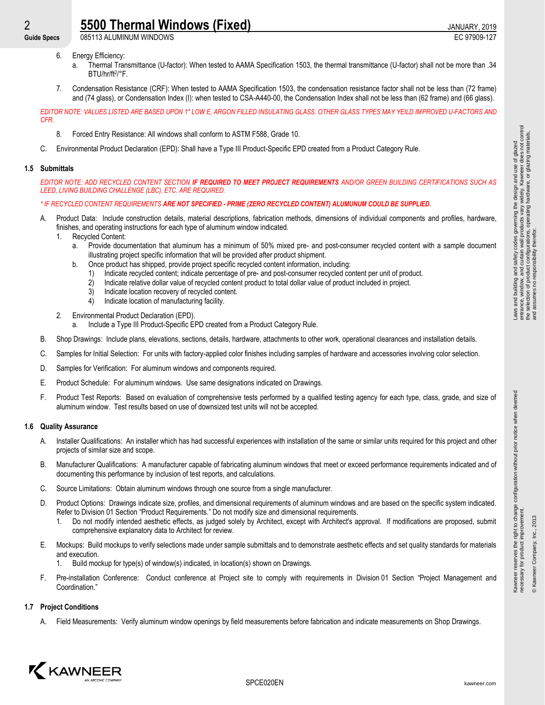**Guide Specs** 085113 ALUMINUM WINDOWS EC 97909-127

- 6. Energy Efficiency:
	- a. Thermal Transmittance (U-factor): When tested to AAMA Specification 1503, the thermal transmittance (U-factor) shall not be more than .34 BTU/hr/ft<sup>2</sup> /°F.
- 7. Condensation Resistance (CRF): When tested to AAMA Specification 1503, the condensation resistance factor shall not be less than (72 frame) and (74 glass), or Condensation Index (I): when tested to CSA-A440-00, the Condensation Index shall not be less than (62 frame) and (66 glass).

*EDITOR NOTE: VALUES LISTED ARE BASED UPON 1" LOW E, ARGON FILLED INSULATING GLASS. OTHER GLASS TYPES MAY YEILD IMPROVED U-FACTORS AND CFR.*

- 8. Forced Entry Resistance: All windows shall conform to ASTM F588, Grade 10.
- C. Environmental Product Declaration (EPD): Shall have a Type III Product-Specific EPD created from a Product Category Rule.

# **1.5 Submittals**

*EDITOR NOTE: ADD RECYCLED CONTENT SECTION IF REQUIRED TO MEET PROJECT REQUIREMENTS AND/OR GREEN BUILDING CERTIFICATIONS SUCH AS LEED, LIVING BUILDING CHALLENGE (LBC), ETC. ARE REQUIRED.*

# *\* IF RECYCLED CONTENT REQUIREMENTS ARE NOT SPECIFIED - PRIME (ZERO RECYCLED CONTENT) ALUMUNUM COULD BE SUPPLIED.*

- A. Product Data: Include construction details, material descriptions, fabrication methods, dimensions of individual components and profiles, hardware, finishes, and operating instructions for each type of aluminum window indicated.
	- 1. Recycled Content:
		- a. Provide documentation that aluminum has a minimum of 50% mixed pre- and post-consumer recycled content with a sample document illustrating project specific information that will be provided after product shipment.
		- b. Once product has shipped, provide project specific recycled content information, including:
			- 1) Indicate recycled content; indicate percentage of pre- and post-consumer recycled content per unit of product.
			- 2) Indicate relative dollar value of recycled content product to total dollar value of product included in project.
			- 3) Indicate location recovery of recycled content.
			- 4) Indicate location of manufacturing facility.
	- 2. Environmental Product Declaration (EPD).
		- a. Include a Type III Product-Specific EPD created from a Product Category Rule.
- B. Shop Drawings: Include plans, elevations, sections, details, hardware, attachments to other work, operational clearances and installation details.
- C. Samples for Initial Selection: For units with factory-applied color finishes including samples of hardware and accessories involving color selection.
- D. Samples for Verification: For aluminum windows and components required.
- E. Product Schedule: For aluminum windows. Use same designations indicated on Drawings.
- F. Product Test Reports: Based on evaluation of comprehensive tests performed by a qualified testing agency for each type, class, grade, and size of aluminum window. Test results based on use of downsized test units will not be accepted.

# **1.6 Quality Assurance**

- A. Installer Qualifications: An installer which has had successful experiences with installation of the same or similar units required for this project and other projects of similar size and scope.
- B. Manufacturer Qualifications: A manufacturer capable of fabricating aluminum windows that meet or exceed performance requirements indicated and of documenting this performance by inclusion of test reports, and calculations.
- C. Source Limitations: Obtain aluminum windows through one source from a single manufacturer.
- D. Product Options: Drawings indicate size, profiles, and dimensional requirements of aluminum windows and are based on the specific system indicated. Refer to Division 01 Section "Product Requirements." Do not modify size and dimensional requirements.
	- 1. Do not modify intended aesthetic effects, as judged solely by Architect, except with Architect's approval. If modifications are proposed, submit comprehensive explanatory data to Architect for review.
- E. Mockups: Build mockups to verify selections made under sample submittals and to demonstrate aesthetic effects and set quality standards for materials and execution.
	- Build mockup for type(s) of window(s) indicated, in location(s) shown on Drawings.
- F. Pre-installation Conference: Conduct conference at Project site to comply with requirements in Division 01 Section "Project Management and Coordination."

# **1.7 Project Conditions**

A. Field Measurements: Verify aluminum window openings by field measurements before fabrication and indicate measurements on Shop Drawings.



Kawneer reserves the right to change configuration without prior notice when deemed

Kawneer reserves the right to change configuration without prior notice when deemed<br>necessary for product improvement.

necessary for product improvement. © Kawneer Company, Inc., 2013

® Kawneer Company, Inc., 2013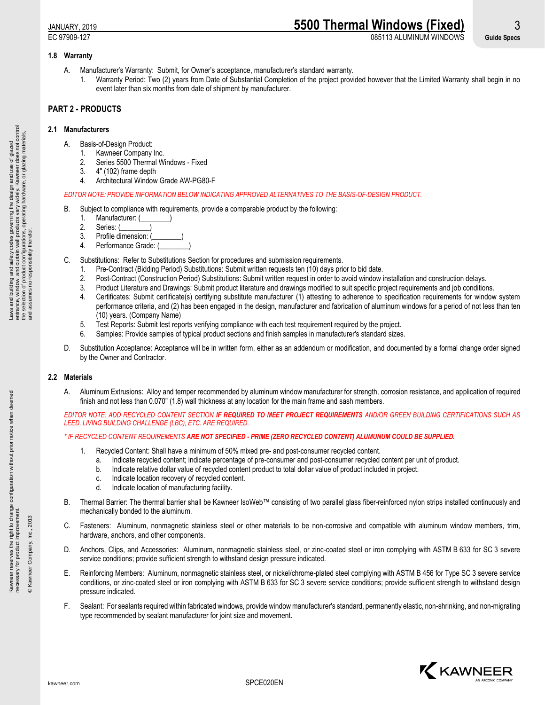# JANUARY, 2019 **5500 Thermal Windows (Fixed)** 3 EC 97909-127 085113 ALUMINUM WINDOWS **Guide Specs**

# **1.8 Warranty**

- A. Manufacturer's Warranty: Submit, for Owner's acceptance, manufacturer's standard warranty.
	- 1. Warranty Period: Two (2) years from Date of Substantial Completion of the project provided however that the Limited Warranty shall begin in no event later than six months from date of shipment by manufacturer.

# **PART 2 - PRODUCTS**

# **2.1 Manufacturers**

- A. Basis-of-Design Product:
	- 1. Kawneer Company Inc.
	- 2. Series 5500 Thermal Windows Fixed
	- 3. 4" (102) frame depth
	- 4. Architectural Window Grade AW-PG80-F

# *EDITOR NOTE: PROVIDE INFORMATION BELOW INDICATING APPROVED ALTERNATIVES TO THE BASIS-OF-DESIGN PRODUCT.*

- B. Subject to compliance with requirements, provide a comparable product by the following:
	- 1. Manufacturer: (
	- 2. Series: (
	- 3. Profile dimension:
	- 4. Performance Grade: (
- C. Substitutions: Refer to Substitutions Section for procedures and submission requirements.
	- 1. Pre-Contract (Bidding Period) Substitutions: Submit written requests ten (10) days prior to bid date.
	- 2. Post-Contract (Construction Period) Substitutions: Submit written request in order to avoid window installation and construction delays.
	- 3. Product Literature and Drawings: Submit product literature and drawings modified to suit specific project requirements and job conditions.
	- 4. Certificates: Submit certificate(s) certifying substitute manufacturer (1) attesting to adherence to specification requirements for window system performance criteria, and (2) has been engaged in the design, manufacturer and fabrication of aluminum windows for a period of not less than ten (10) years. (Company Name)
	- 5. Test Reports: Submit test reports verifying compliance with each test requirement required by the project.
	- 6. Samples: Provide samples of typical product sections and finish samples in manufacturer's standard sizes.
- D. Substitution Acceptance: Acceptance will be in written form, either as an addendum or modification, and documented by a formal change order signed by the Owner and Contractor.

# **2.2 Materials**

A. Aluminum Extrusions: Alloy and temper recommended by aluminum window manufacturer for strength, corrosion resistance, and application of required finish and not less than 0.070" (1.8) wall thickness at any location for the main frame and sash members.

*EDITOR NOTE: ADD RECYCLED CONTENT SECTION IF REQUIRED TO MEET PROJECT REQUIREMENTS AND/OR GREEN BUILDING CERTIFICATIONS SUCH AS LEED, LIVING BUILDING CHALLENGE (LBC), ETC. ARE REQUIRED.*

# *\* IF RECYCLED CONTENT REQUIREMENTS ARE NOT SPECIFIED - PRIME (ZERO RECYCLED CONTENT) ALUMUNUM COULD BE SUPPLIED.*

- 1. Recycled Content: Shall have a minimum of 50% mixed pre- and post-consumer recycled content.
	- a. Indicate recycled content; indicate percentage of pre-consumer and post-consumer recycled content per unit of product.
	- b. Indicate relative dollar value of recycled content product to total dollar value of product included in project.
	- c. Indicate location recovery of recycled content.
	- d. Indicate location of manufacturing facility.
- B. Thermal Barrier: The thermal barrier shall be Kawneer IsoWeb™ consisting of two parallel glass fiber-reinforced nylon strips installed continuously and mechanically bonded to the aluminum.
- C. Fasteners: Aluminum, nonmagnetic stainless steel or other materials to be non-corrosive and compatible with aluminum window members, trim, hardware, anchors, and other components.
- D. Anchors, Clips, and Accessories: Aluminum, nonmagnetic stainless steel, or zinc-coated steel or iron complying with ASTM B 633 for SC 3 severe service conditions; provide sufficient strength to withstand design pressure indicated.
- E. Reinforcing Members: Aluminum, nonmagnetic stainless steel, or nickel/chrome-plated steel complying with ASTM B 456 for Type SC 3 severe service conditions, or zinc-coated steel or iron complying with ASTM B 633 for SC 3 severe service conditions; provide sufficient strength to withstand design pressure indicated.
- F. Sealant: For sealants required within fabricated windows, provide window manufacturer's standard, permanently elastic, non-shrinking, and non-migrating type recommended by sealant manufacturer for joint size and movement.



Kawneer reserves the right to change configuration without prior notice when deemed

reserves the right to change configuration without prior notice when deemed<br>ry for product improvement.

necessary for product improvement. © Kawneer Company, Inc., 2013

Kawneer re<br>necessary f

© Kawneer Company, Inc., 2013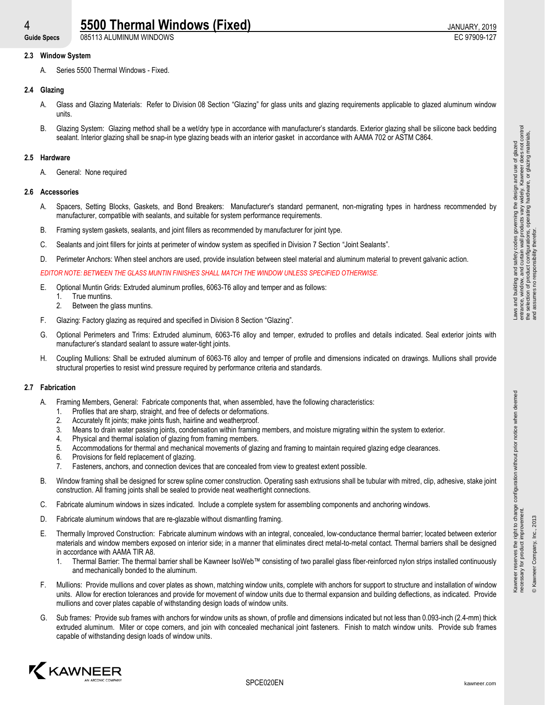# **4** 5500 Thermal Windows (Fixed) **1998** 1998 12019

**Guide Specs** 085113 ALUMINUM WINDOWS EC 97909-127

# **2.3 Window System**

A. Series 5500 Thermal Windows - Fixed.

# **2.4 Glazing**

- A. Glass and Glazing Materials: Refer to Division 08 Section "Glazing" for glass units and glazing requirements applicable to glazed aluminum window units.
- B. Glazing System: Glazing method shall be a wet/dry type in accordance with manufacturer's standards. Exterior glazing shall be silicone back bedding sealant. Interior glazing shall be snap-in type glazing beads with an interior gasket in accordance with AAMA 702 or ASTM C864.

#### **2.5 Hardware**

A. General: None required

#### **2.6 Accessories**

- A. Spacers, Setting Blocks, Gaskets, and Bond Breakers: Manufacturer's standard permanent, non-migrating types in hardness recommended by manufacturer, compatible with sealants, and suitable for system performance requirements.
- B. Framing system gaskets, sealants, and joint fillers as recommended by manufacturer for joint type.
- C. Sealants and joint fillers for joints at perimeter of window system as specified in Division 7 Section "Joint Sealants".
- D. Perimeter Anchors: When steel anchors are used, provide insulation between steel material and aluminum material to prevent galvanic action.

*EDITOR NOTE: BETWEEN THE GLASS MUNTIN FINISHES SHALL MATCH THE WINDOW UNLESS SPECIFIED OTHERWISE.*

- E. Optional Muntin Grids: Extruded aluminum profiles, 6063-T6 alloy and temper and as follows:
	- 1. True muntins.
	- 2. Between the glass muntins.
- F. Glazing: Factory glazing as required and specified in Division 8 Section "Glazing".
- G. Optional Perimeters and Trims: Extruded aluminum, 6063-T6 alloy and temper, extruded to profiles and details indicated. Seal exterior joints with manufacturer's standard sealant to assure water-tight joints.
- H. Coupling Mullions: Shall be extruded aluminum of 6063-T6 alloy and temper of profile and dimensions indicated on drawings. Mullions shall provide structural properties to resist wind pressure required by performance criteria and standards.

# **2.7 Fabrication**

- A. Framing Members, General: Fabricate components that, when assembled, have the following characteristics:
	- 1. Profiles that are sharp, straight, and free of defects or deformations.
	- 2. Accurately fit joints; make joints flush, hairline and weatherproof.
	- 3. Means to drain water passing joints, condensation within framing members, and moisture migrating within the system to exterior.
	- 4. Physical and thermal isolation of glazing from framing members.
	- 5. Accommodations for thermal and mechanical movements of glazing and framing to maintain required glazing edge clearances.
	- 6. Provisions for field replacement of glazing.
	- 7. Fasteners, anchors, and connection devices that are concealed from view to greatest extent possible.
- B. Window framing shall be designed for screw spline corner construction. Operating sash extrusions shall be tubular with mitred, clip, adhesive, stake joint construction. All framing joints shall be sealed to provide neat weathertight connections.
- C. Fabricate aluminum windows in sizes indicated. Include a complete system for assembling components and anchoring windows.
- D. Fabricate aluminum windows that are re-glazable without dismantling framing.
- E. Thermally Improved Construction: Fabricate aluminum windows with an integral, concealed, low-conductance thermal barrier; located between exterior materials and window members exposed on interior side; in a manner that eliminates direct metal-to-metal contact. Thermal barriers shall be designed in accordance with AAMA TIR A8.
	- 1. Thermal Barrier: The thermal barrier shall be Kawneer IsoWeb™ consisting of two parallel glass fiber-reinforced nylon strips installed continuously and mechanically bonded to the aluminum.
- F. Mullions: Provide mullions and cover plates as shown, matching window units, complete with anchors for support to structure and installation of window units. Allow for erection tolerances and provide for movement of window units due to thermal expansion and building deflections, as indicated. Provide mullions and cover plates capable of withstanding design loads of window units.
- G. Sub frames: Provide sub frames with anchors for window units as shown, of profile and dimensions indicated but not less than 0.093-inch (2.4-mm) thick extruded aluminum. Miter or cope corners, and join with concealed mechanical joint fasteners. Finish to match window units. Provide sub frames capable of withstanding design loads of window units.



Kawneer reserves the right to change configuration without prior notice when deemed

r reserves the right to change configuration without prior notice when deemed<br>ry for product improvement.

necessary for product improvement. © Kawneer Company, Inc., 2013

Kawneer re<br>necessary f

® Kawneer Company, Inc., 2013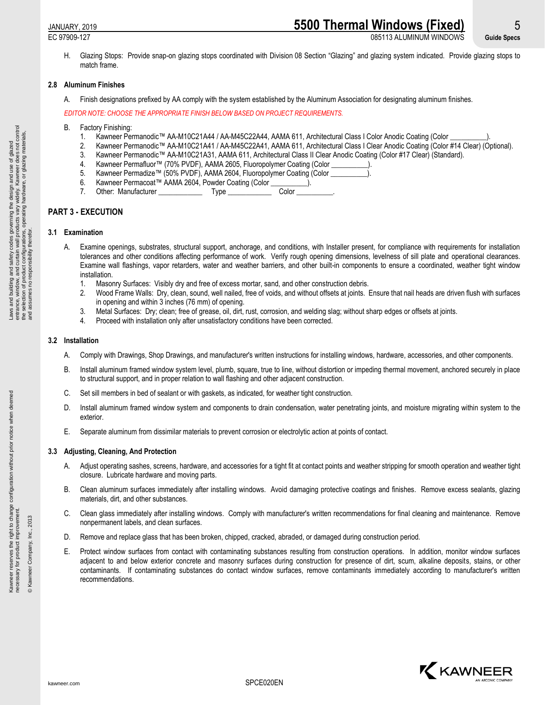# JANUARY, 2019 **5500 Thermal Windows (Fixed)** 5

EC 97909-127 085113 ALUMINUM WINDOWS **Guide Specs**

H. Glazing Stops: Provide snap-on glazing stops coordinated with Division 08 Section "Glazing" and glazing system indicated. Provide glazing stops to match frame.

#### **2.8 Aluminum Finishes**

A. Finish designations prefixed by AA comply with the system established by the Aluminum Association for designating aluminum finishes.

*EDITOR NOTE: CHOOSE THE APPROPRIATE FINISH BELOW BASED ON PROJECT REQUIREMENTS.*

- B. Factory Finishing:
	- 1. Kawneer Permanodic™ AA-M10C21A44 / AA-M45C22A44, AAMA 611, Architectural Class I Color Anodic Coating (Color
	- 2. Kawneer Permanodic™ AA-M10C21A41 / AA-M45C22A41, AAMA 611, Architectural Class I Clear Anodic Coating (Color #14 Clear) (Optional).
	- 3. Kawneer Permanodic™ AA-M10C21A31, AAMA 611, Architectural Class II Clear Anodic Coating (Color #17 Clear) (Standard).
		- 4. Kawneer Permafluor™ (70% PVDF), AAMA 2605, Fluoropolymer Coating (Color
		- 5. Kawneer Permadize™ (50% PVDF), AAMA 2604, Fluoropolymer Coating (Color
	- 6. Kawneer Permacoat™ AAMA 2604, Powder Coating (Color \_\_\_\_\_\_\_\_<br>7. Other: Manufacturer Type Type
	- 7. Other: Manufacturer \_\_\_\_\_\_\_\_\_\_\_\_ Type \_\_\_\_\_\_\_\_\_\_\_\_ Color \_\_\_\_\_\_\_\_\_\_.

# **PART 3 - EXECUTION**

# **3.1 Examination**

- A. Examine openings, substrates, structural support, anchorage, and conditions, with Installer present, for compliance with requirements for installation tolerances and other conditions affecting performance of work. Verify rough opening dimensions, levelness of sill plate and operational clearances. Examine wall flashings, vapor retarders, water and weather barriers, and other built-in components to ensure a coordinated, weather tight window installation.
	- 1. Masonry Surfaces: Visibly dry and free of excess mortar, sand, and other construction debris.
	- 2. Wood Frame Walls: Dry, clean, sound, well nailed, free of voids, and without offsets at joints. Ensure that nail heads are driven flush with surfaces in opening and within 3 inches (76 mm) of opening.
	- 3. Metal Surfaces: Dry; clean; free of grease, oil, dirt, rust, corrosion, and welding slag; without sharp edges or offsets at joints.
	- 4. Proceed with installation only after unsatisfactory conditions have been corrected.

#### **3.2 Installation**

- A. Comply with Drawings, Shop Drawings, and manufacturer's written instructions for installing windows, hardware, accessories, and other components.
- B. Install aluminum framed window system level, plumb, square, true to line, without distortion or impeding thermal movement, anchored securely in place to structural support, and in proper relation to wall flashing and other adjacent construction.
- C. Set sill members in bed of sealant or with gaskets, as indicated, for weather tight construction.
- D. Install aluminum framed window system and components to drain condensation, water penetrating joints, and moisture migrating within system to the exterior.
- E. Separate aluminum from dissimilar materials to prevent corrosion or electrolytic action at points of contact.

# **3.3 Adjusting, Cleaning, And Protection**

- A. Adjust operating sashes, screens, hardware, and accessories for a tight fit at contact points and weather stripping for smooth operation and weather tight closure. Lubricate hardware and moving parts.
- B. Clean aluminum surfaces immediately after installing windows. Avoid damaging protective coatings and finishes. Remove excess sealants, glazing materials, dirt, and other substances.
- C. Clean glass immediately after installing windows. Comply with manufacturer's written recommendations for final cleaning and maintenance. Remove nonpermanent labels, and clean surfaces.
- D. Remove and replace glass that has been broken, chipped, cracked, abraded, or damaged during construction period.
- E. Protect window surfaces from contact with contaminating substances resulting from construction operations. In addition, monitor window surfaces adjacent to and below exterior concrete and masonry surfaces during construction for presence of dirt, scum, alkaline deposits, stains, or other contaminants. If contaminating substances do contact window surfaces, remove contaminants immediately according to manufacturer's written recommendations.

© Kawneer Company, Inc., 2013

® Kawneer Company, Inc., 2013